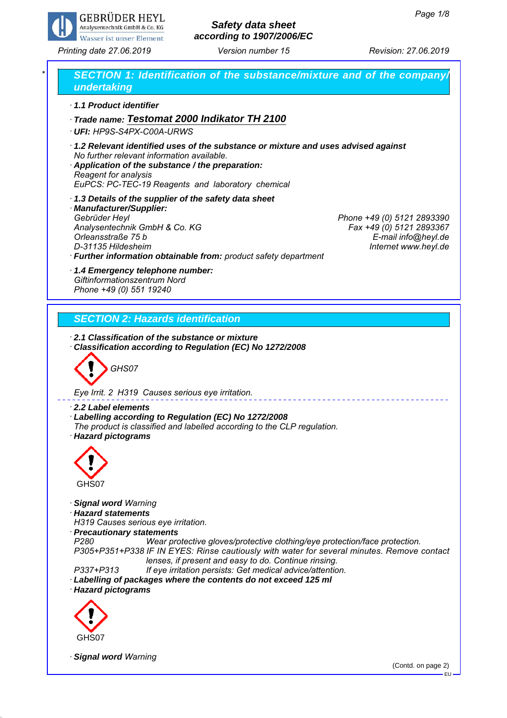

# *Safety data sheet according to 1907/2006/EC*

*Printing date 27.06.2019 Revision: 27.06.2019 Version number 15*



EU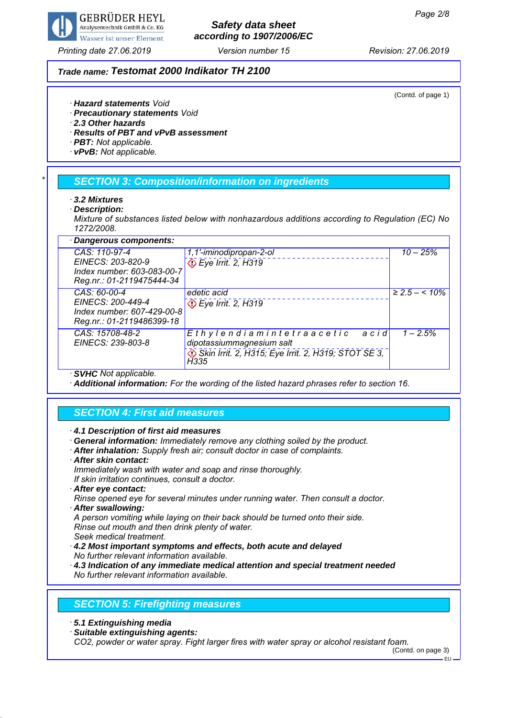

# *Safety data sheet according to 1907/2006/EC*

### *Trade name: Testomat 2000 Indikator TH 2100*

(Contd. of page 1)

- *· Hazard statements Void*
- *· Precautionary statements Void*
- *· 2.3 Other hazards*
- *· Results of PBT and vPvB assessment*
- *· PBT: Not applicable.*
- *· vPvB: Not applicable.*

### *\* SECTION 3: Composition/information on ingredients*

- *· 3.2 Mixtures*
- *· Description:*

*Mixture of substances listed below with nonhazardous additions according to Regulation (EC) No 1272/2008.*

| · Dangerous components:                                                      |                                                               |                        |  |  |
|------------------------------------------------------------------------------|---------------------------------------------------------------|------------------------|--|--|
| CAS: 110-97-4                                                                | 1,1'-iminodipropan-2-ol                                       | $10 - 25\%$            |  |  |
| EINECS: 203-820-9<br>Index number: 603-083-00-7<br>Reg.nr.: 01-2119475444-34 | Eye Irrit. 2, H319                                            |                        |  |  |
| CAS: 60-00-4                                                                 | edetic acid                                                   | $\geq 2.5 - \leq 10\%$ |  |  |
| EINECS: 200-449-4<br>Index number: 607-429-00-8                              | De Irrit. 2, H319                                             |                        |  |  |
| Reg.nr.: 01-2119486399-18                                                    |                                                               |                        |  |  |
| CAS: 15708-48-2<br>EINECS: 239-803-8                                         | Ethylendiamintetraacetic<br>acid<br>dipotassiummagnesium salt | $1 - 2.5%$             |  |  |
|                                                                              |                                                               |                        |  |  |
|                                                                              | Skin Irrit. 2, H315; Eye Irrit. 2, H319; STOT SE 3,<br>H335   |                        |  |  |
| $A$ $(B$ $ B$ $ A$ $ C$ $ C$ $ D$                                            |                                                               |                        |  |  |

*· SVHC Not applicable.*

*· Additional information: For the wording of the listed hazard phrases refer to section 16.*

### *SECTION 4: First aid measures*

*· 4.1 Description of first aid measures*

*· General information: Immediately remove any clothing soiled by the product.*

- *· After inhalation: Supply fresh air; consult doctor in case of complaints.*
- *· After skin contact:*

*Immediately wash with water and soap and rinse thoroughly.*

- *If skin irritation continues, consult a doctor.*
- *· After eye contact:*

*Rinse opened eye for several minutes under running water. Then consult a doctor. · After swallowing:*

*A person vomiting while laying on their back should be turned onto their side. Rinse out mouth and then drink plenty of water.*

*Seek medical treatment.*

*· 4.2 Most important symptoms and effects, both acute and delayed No further relevant information available.*

*· 4.3 Indication of any immediate medical attention and special treatment needed No further relevant information available.*

### *SECTION 5: Firefighting measures*

*· 5.1 Extinguishing media*

*· Suitable extinguishing agents:*

*CO2, powder or water spray. Fight larger fires with water spray or alcohol resistant foam.*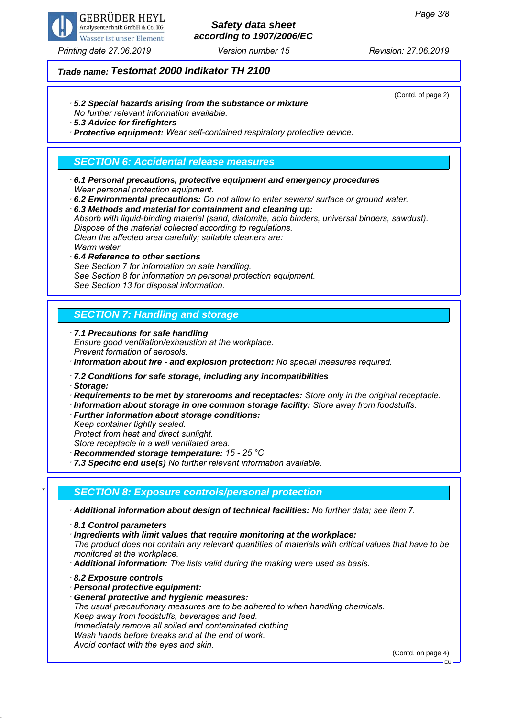

## *Safety data sheet according to 1907/2006/EC*

(Contd. of page 2)

### *Trade name: Testomat 2000 Indikator TH 2100*

*· 5.2 Special hazards arising from the substance or mixture*

*No further relevant information available.*

*· 5.3 Advice for firefighters*

*· Protective equipment: Wear self-contained respiratory protective device.*

## *SECTION 6: Accidental release measures*

- *· 6.1 Personal precautions, protective equipment and emergency procedures Wear personal protection equipment.*
- *· 6.2 Environmental precautions: Do not allow to enter sewers/ surface or ground water.*
- *· 6.3 Methods and material for containment and cleaning up:*

*Absorb with liquid-binding material (sand, diatomite, acid binders, universal binders, sawdust). Dispose of the material collected according to regulations. Clean the affected area carefully; suitable cleaners are:*

*Warm water*

*· 6.4 Reference to other sections See Section 7 for information on safe handling. See Section 8 for information on personal protection equipment. See Section 13 for disposal information.*

## *SECTION 7: Handling and storage*

*· 7.1 Precautions for safe handling Ensure good ventilation/exhaustion at the workplace. Prevent formation of aerosols.*

*· Information about fire - and explosion protection: No special measures required.*

*· 7.2 Conditions for safe storage, including any incompatibilities*

*· Storage:*

*· Requirements to be met by storerooms and receptacles: Store only in the original receptacle.*

*· Information about storage in one common storage facility: Store away from foodstuffs.*

*· Further information about storage conditions:*

*Keep container tightly sealed.*

*Protect from heat and direct sunlight.*

*Store receptacle in a well ventilated area.*

*· Recommended storage temperature: 15 - 25 °C*

*· 7.3 Specific end use(s) No further relevant information available.*

### *\* SECTION 8: Exposure controls/personal protection*

*· Additional information about design of technical facilities: No further data; see item 7.*

*· 8.1 Control parameters*

*· Ingredients with limit values that require monitoring at the workplace:*

*The product does not contain any relevant quantities of materials with critical values that have to be monitored at the workplace.*

- *· Additional information: The lists valid during the making were used as basis.*
- *· 8.2 Exposure controls*
- *· Personal protective equipment:*
- *· General protective and hygienic measures:*

*The usual precautionary measures are to be adhered to when handling chemicals. Keep away from foodstuffs, beverages and feed.*

*Immediately remove all soiled and contaminated clothing Wash hands before breaks and at the end of work.*

*Avoid contact with the eyes and skin.*

(Contd. on page 4)

EU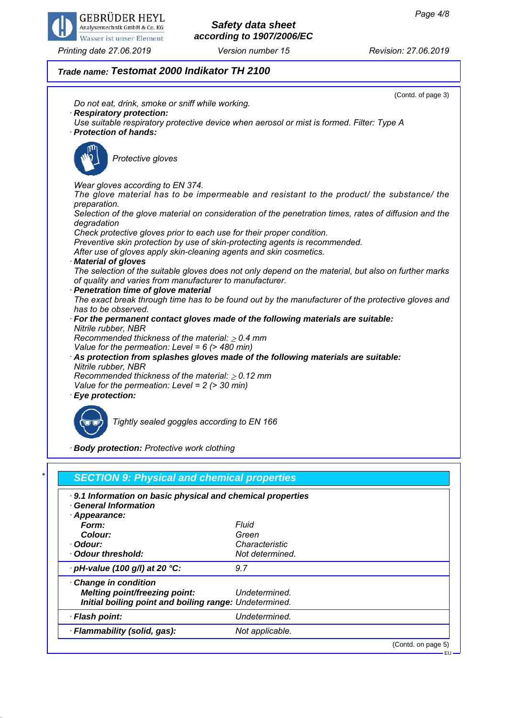

## *Safety data sheet according to 1907/2006/EC*

### *Trade name: Testomat 2000 Indikator TH 2100*



*Initial boiling point and boiling range: Undetermined. · Flash point: Undetermined. · Flammability (solid, gas): Not applicable.*

(Contd. on page 5)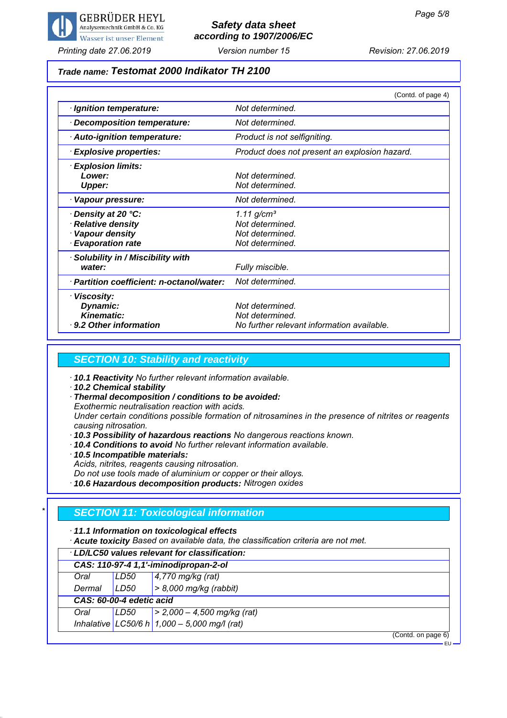

## *Safety data sheet according to 1907/2006/EC*

## *Trade name: Testomat 2000 Indikator TH 2100*

|                                           | (Contd. of page 4)                            |
|-------------------------------------------|-----------------------------------------------|
| · Ignition temperature:                   | Not determined.                               |
| <b>Decomposition temperature:</b>         | Not determined.                               |
| · Auto-ignition temperature:              | Product is not selfigniting.                  |
| · Explosive properties:                   | Product does not present an explosion hazard. |
| · Explosion limits:                       |                                               |
| Lower:                                    | Not determined.                               |
| <b>Upper:</b>                             | Not determined.                               |
| Vapour pressure:<br>٠                     | Not determined.                               |
| Density at 20 °C:                         | 1.11 $g/cm^{3}$                               |
| <b>Relative density</b>                   | Not determined.                               |
| Vapour density                            | Not determined.                               |
| <b>Evaporation rate</b>                   | Not determined.                               |
| Solubility in / Miscibility with          |                                               |
| water:                                    | Fully miscible.                               |
| · Partition coefficient: n-octanol/water: | Not determined.                               |
| · Viscosity:                              |                                               |
| Dynamic:                                  | Not determined.                               |
| <b>Kinematic:</b>                         | Not determined.                               |
| ⋅ 9.2 Other information                   | No further relevant information available.    |

#### *SECTION 10: Stability and reactivity*

- *· 10.1 Reactivity No further relevant information available.*
- *· 10.2 Chemical stability*
- *· Thermal decomposition / conditions to be avoided:*

*Exothermic neutralisation reaction with acids.*

*Under certain conditions possible formation of nitrosamines in the presence of nitrites or reagents causing nitrosation.*

- *· 10.3 Possibility of hazardous reactions No dangerous reactions known.*
- *· 10.4 Conditions to avoid No further relevant information available.*
- *· 10.5 Incompatible materials:*
- *Acids, nitrites, reagents causing nitrosation.*

*Do not use tools made of aluminium or copper or their alloys.*

*· 10.6 Hazardous decomposition products: Nitrogen oxides*

### *\* SECTION 11: Toxicological information*

*· 11.1 Information on toxicological effects*

*· Acute toxicity Based on available data, the classification criteria are not met.*

|                                       | LD/LC50 values relevant for classification: |                                                |  |  |  |
|---------------------------------------|---------------------------------------------|------------------------------------------------|--|--|--|
| CAS: 110-97-4 1,1'-iminodipropan-2-ol |                                             |                                                |  |  |  |
| Oral                                  | LD50                                        | $4,770$ mg/kg (rat)                            |  |  |  |
| Dermal                                | LD50                                        | $> 8,000$ mg/kg (rabbit)                       |  |  |  |
|                                       | CAS: 60-00-4 edetic acid                    |                                                |  |  |  |
| Oral                                  | LD50                                        | $\vert$ > 2,000 - 4,500 mg/kg (rat)            |  |  |  |
|                                       |                                             | Inhalative LC50/6 h $1,000 - 5,000$ mg/l (rat) |  |  |  |

(Contd. on page 6)

EU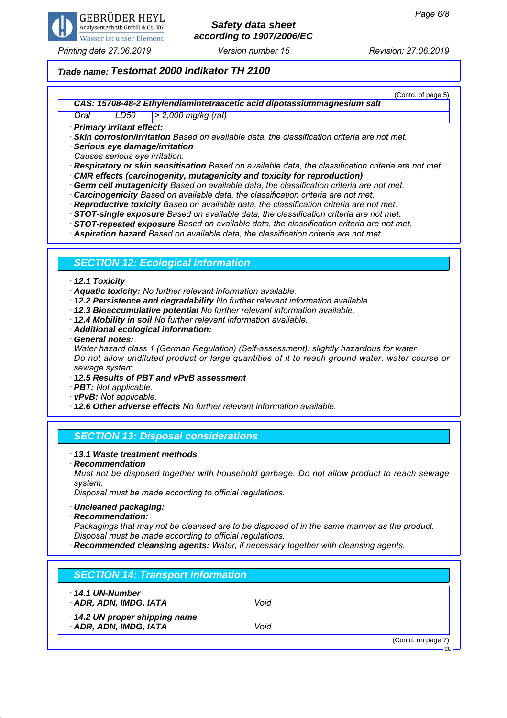

# *Safety data sheet according to 1907/2006/EC*

*Printing date 27.06.2019 Revision: 27.06.2019 Version number 15*

### *Trade name: Testomat 2000 Indikator TH 2100*

(Contd. of page 5) *CAS: 15708-48-2 Ethylendiamintetraacetic acid dipotassiummagnesium salt*

*Oral LD50 > 2,000 mg/kg (rat)*

*· Primary irritant effect:*

*· Skin corrosion/irritation Based on available data, the classification criteria are not met.*

*· Serious eye damage/irritation*

*Causes serious eye irritation.*

*· Respiratory or skin sensitisation Based on available data, the classification criteria are not met.*

- *· CMR effects (carcinogenity, mutagenicity and toxicity for reproduction)*
- *· Germ cell mutagenicity Based on available data, the classification criteria are not met.*
- *· Carcinogenicity Based on available data, the classification criteria are not met.*
- *· Reproductive toxicity Based on available data, the classification criteria are not met.*

*· STOT-single exposure Based on available data, the classification criteria are not met.*

*· STOT-repeated exposure Based on available data, the classification criteria are not met.*

*· Aspiration hazard Based on available data, the classification criteria are not met.*

### *SECTION 12: Ecological information*

#### *· 12.1 Toxicity*

*· Aquatic toxicity: No further relevant information available.*

- *· 12.2 Persistence and degradability No further relevant information available.*
- *· 12.3 Bioaccumulative potential No further relevant information available.*
- *· 12.4 Mobility in soil No further relevant information available.*
- *· Additional ecological information:*
- *· General notes:*

*Water hazard class 1 (German Regulation) (Self-assessment): slightly hazardous for water Do not allow undiluted product or large quantities of it to reach ground water, water course or sewage system.*

- *· 12.5 Results of PBT and vPvB assessment*
- *· PBT: Not applicable.*
- *· vPvB: Not applicable.*
- *· 12.6 Other adverse effects No further relevant information available.*

### *SECTION 13: Disposal considerations*

#### *· 13.1 Waste treatment methods*

*· Recommendation Must not be disposed together with household garbage. Do not allow product to reach sewage system.*

*Disposal must be made according to official regulations.*

- *· Uncleaned packaging:*
- *· Recommendation:*

*Packagings that may not be cleansed are to be disposed of in the same manner as the product. Disposal must be made according to official regulations.*

*· Recommended cleansing agents: Water, if necessary together with cleansing agents.*

| $\cdot$ 14.1 UN-Number       |      |  |
|------------------------------|------|--|
| ADR, ADN, IMDG, IATA         | Void |  |
| 14.2 UN proper shipping name |      |  |
| · ADR, ADN, IMDG, IATA       | Void |  |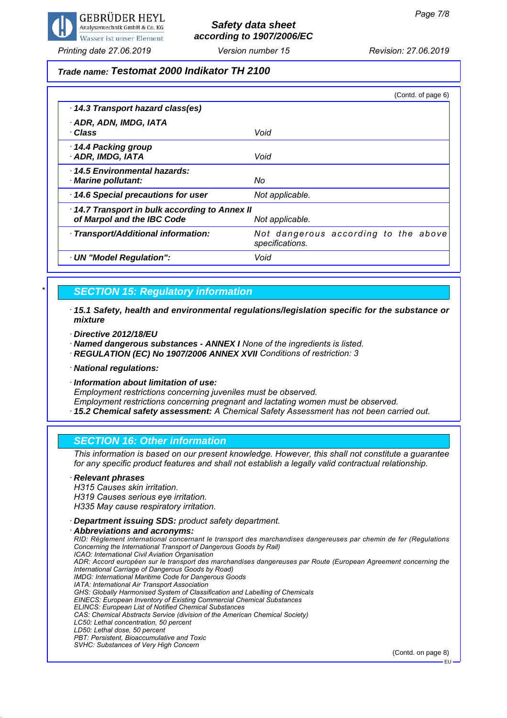

# *Safety data sheet according to 1907/2006/EC*

*Printing date 27.06.2019 Revision: 27.06.2019 Version number 15*

#### *Trade name: Testomat 2000 Indikator TH 2100*

|                                                                            | (Contd. of page 6)                                      |
|----------------------------------------------------------------------------|---------------------------------------------------------|
| 14.3 Transport hazard class(es)                                            |                                                         |
| · ADR, ADN, IMDG, IATA<br>· Class                                          | Void                                                    |
| 14.4 Packing group<br>· ADR, IMDG, IATA                                    | Void                                                    |
| 14.5 Environmental hazards:<br>· Marine pollutant:                         | No                                                      |
| 14.6 Special precautions for user                                          | Not applicable.                                         |
| 14.7 Transport in bulk according to Annex II<br>of Marpol and the IBC Code | Not applicable.                                         |
| · Transport/Additional information:                                        | Not dangerous according to the above<br>specifications. |
| · UN "Model Regulation":                                                   | Void                                                    |

#### *\* SECTION 15: Regulatory information*

- *· 15.1 Safety, health and environmental regulations/legislation specific for the substance or mixture*
- *· Directive 2012/18/EU*

*· Named dangerous substances - ANNEX I None of the ingredients is listed.*

- *· REGULATION (EC) No 1907/2006 ANNEX XVII Conditions of restriction: 3*
- *· National regulations:*
- *· Information about limitation of use:*

*Employment restrictions concerning juveniles must be observed.*

*Employment restrictions concerning pregnant and lactating women must be observed.*

*· 15.2 Chemical safety assessment: A Chemical Safety Assessment has not been carried out.*

#### *SECTION 16: Other information*

*This information is based on our present knowledge. However, this shall not constitute a guarantee for any specific product features and shall not establish a legally valid contractual relationship.*

#### *· Relevant phrases H315 Causes skin irritation. H319 Causes serious eye irritation. H335 May cause respiratory irritation. · Department issuing SDS: product safety department.*

*· Abbreviations and acronyms: RID: Règlement international concernant le transport des marchandises dangereuses par chemin de fer (Regulations Concerning the International Transport of Dangerous Goods by Rail) ICAO: International Civil Aviation Organisation ADR: Accord européen sur le transport des marchandises dangereuses par Route (European Agreement concerning the International Carriage of Dangerous Goods by Road) IMDG: International Maritime Code for Dangerous Goods IATA: International Air Transport Association GHS: Globally Harmonised System of Classification and Labelling of Chemicals EINECS: European Inventory of Existing Commercial Chemical Substances ELINCS: European List of Notified Chemical Substances CAS: Chemical Abstracts Service (division of the American Chemical Society) LC50: Lethal concentration, 50 percent LD50: Lethal dose, 50 percent PBT: Persistent, Bioaccumulative and Toxic SVHC: Substances of Very High Concern*

(Contd. on page 8)

EU